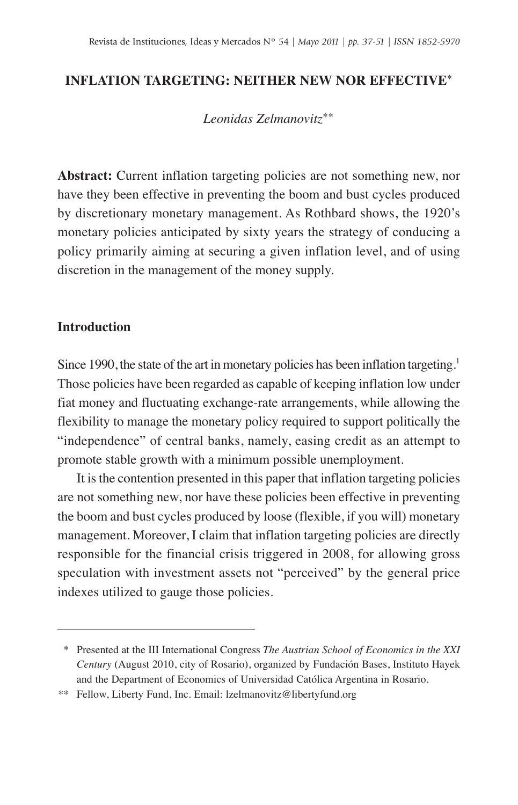## **INFLATION TARGETING: NEITHER NEW NOR EFFECTIVE**\*

*Leonidas Zelmanovitz*\*\*

**Abstract:** Current inflation targeting policies are not something new, nor have they been effective in preventing the boom and bust cycles produced by discretionary monetary management. As Rothbard shows, the 1920's monetary policies anticipated by sixty years the strategy of conducing a policy primarily aiming at securing a given inflation level, and of using discretion in the management of the money supply.

# **Introduction**

Since 1990, the state of the art in monetary policies has been inflation targeting.<sup>1</sup> Those policies have been regarded as capable of keeping inflation low under fiat money and fluctuating exchange-rate arrangements, while allowing the flexibility to manage the monetary policy required to support politically the "independence" of central banks, namely, easing credit as an attempt to promote stable growth with a minimum possible unemployment.

It is the contention presented in this paper that inflation targeting policies are not something new, nor have these policies been effective in preventing the boom and bust cycles produced by loose (flexible, if you will) monetary management. Moreover, I claim that inflation targeting policies are directly responsible for the financial crisis triggered in 2008, for allowing gross speculation with investment assets not "perceived" by the general price indexes utilized to gauge those policies.

<sup>\*</sup> Presented at the III International Congress *The Austrian School of Economics in the XXI Century* (August 2010, city of Rosario), organized by Fundación Bases, Instituto Hayek and the Department of Economics of Universidad Católica Argentina in Rosario.

<sup>\*\*</sup> Fellow, Liberty Fund, Inc. Email: lzelmanovitz@libertyfund.org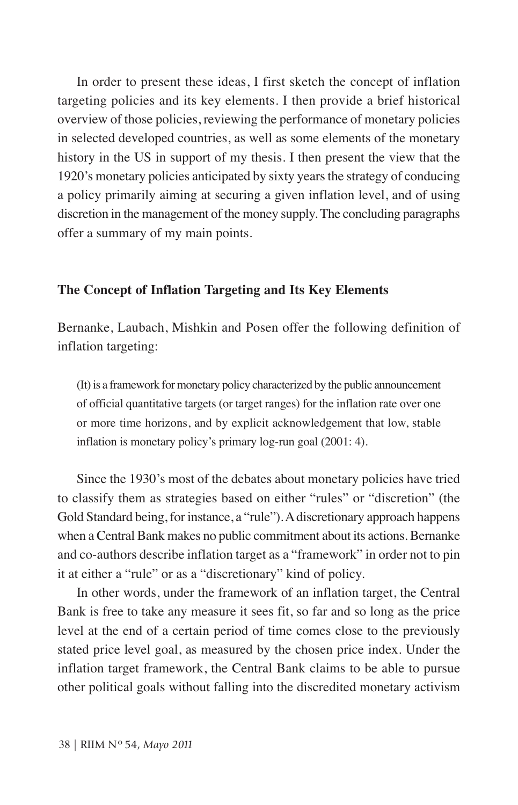In order to present these ideas, I first sketch the concept of inflation targeting policies and its key elements. I then provide a brief historical overview of those policies, reviewing the performance of monetary policies in selected developed countries, as well as some elements of the monetary history in the US in support of my thesis. I then present the view that the 1920's monetary policies anticipated by sixty years the strategy of conducing a policy primarily aiming at securing a given inflation level, and of using discretion in the management of the money supply. The concluding paragraphs offer a summary of my main points.

### **The Concept of Inflation Targeting and Its Key Elements**

Bernanke, Laubach, Mishkin and Posen offer the following definition of inflation targeting:

(It) is a framework for monetary policy characterized by the public announcement of official quantitative targets (or target ranges) for the inflation rate over one or more time horizons, and by explicit acknowledgement that low, stable inflation is monetary policy's primary log-run goal (2001: 4).

Since the 1930's most of the debates about monetary policies have tried to classify them as strategies based on either "rules" or "discretion" (the Gold Standard being, for instance, a "rule"). A discretionary approach happens when a Central Bank makes no public commitment about its actions. Bernanke and co-authors describe inflation target as a "framework" in order not to pin it at either a "rule" or as a "discretionary" kind of policy.

In other words, under the framework of an inflation target, the Central Bank is free to take any measure it sees fit, so far and so long as the price level at the end of a certain period of time comes close to the previously stated price level goal, as measured by the chosen price index. Under the inflation target framework, the Central Bank claims to be able to pursue other political goals without falling into the discredited monetary activism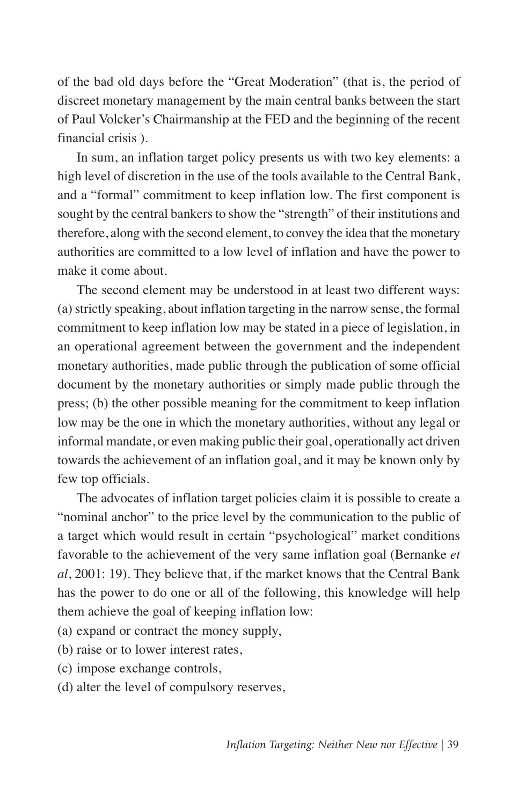of the bad old days before the "Great Moderation" (that is, the period of discreet monetary management by the main central banks between the start of Paul Volcker's Chairmanship at the FED and the beginning of the recent financial crisis ).

In sum, an inflation target policy presents us with two key elements: a high level of discretion in the use of the tools available to the Central Bank, and a "formal" commitment to keep inflation low. The first component is sought by the central bankers to show the "strength" of their institutions and therefore, along with the second element, to convey the idea that the monetary authorities are committed to a low level of inflation and have the power to make it come about.

The second element may be understood in at least two different ways: (a) strictly speaking, about inflation targeting in the narrow sense, the formal commitment to keep inflation low may be stated in a piece of legislation, in an operational agreement between the government and the independent monetary authorities, made public through the publication of some official document by the monetary authorities or simply made public through the press; (b) the other possible meaning for the commitment to keep inflation low may be the one in which the monetary authorities, without any legal or informal mandate, or even making public their goal, operationally act driven towards the achievement of an inflation goal, and it may be known only by few top officials.

The advocates of inflation target policies claim it is possible to create a "nominal anchor" to the price level by the communication to the public of a target which would result in certain "psychological" market conditions favorable to the achievement of the very same inflation goal (Bernanke *et al*, 2001: 19). They believe that, if the market knows that the Central Bank has the power to do one or all of the following, this knowledge will help them achieve the goal of keeping inflation low:

(a) expand or contract the money supply,

- (b) raise or to lower interest rates,
- (c) impose exchange controls,
- (d) alter the level of compulsory reserves,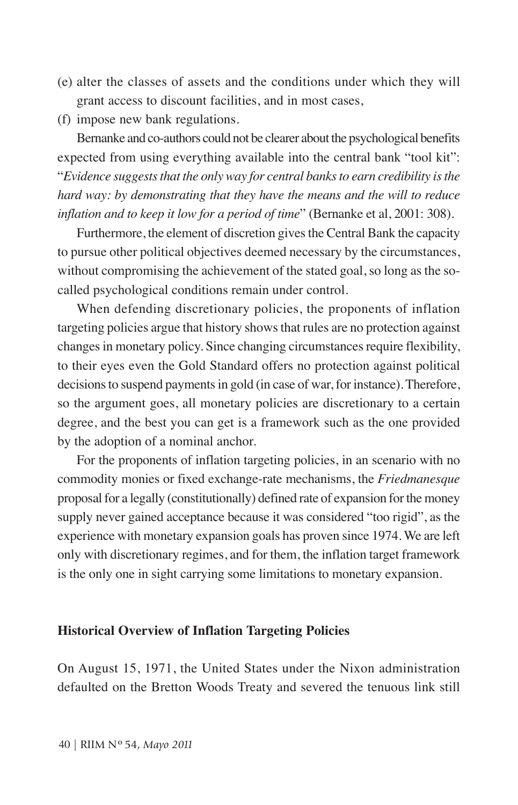- (e) alter the classes of assets and the conditions under which they will grant access to discount facilities, and in most cases,
- (f) impose new bank regulations.

Bernanke and co-authors could not be clearer about the psychological benefits expected from using everything available into the central bank "tool kit": "*Evidence suggests that the only way for central banks to earn credibility is the hard way: by demonstrating that they have the means and the will to reduce inflation and to keep it low for a period of time*" (Bernanke et al, 2001: 308).

Furthermore, the element of discretion gives the Central Bank the capacity to pursue other political objectives deemed necessary by the circumstances, without compromising the achievement of the stated goal, so long as the socalled psychological conditions remain under control.

When defending discretionary policies, the proponents of inflation targeting policies argue that history shows that rules are no protection against changes in monetary policy. Since changing circumstances require flexibility, to their eyes even the Gold Standard offers no protection against political decisions to suspend payments in gold (in case of war, for instance). Therefore, so the argument goes, all monetary policies are discretionary to a certain degree, and the best you can get is a framework such as the one provided by the adoption of a nominal anchor.

For the proponents of inflation targeting policies, in an scenario with no commodity monies or fixed exchange-rate mechanisms, the *Friedmanesque* proposal for a legally (constitutionally) defined rate of expansion for the money supply never gained acceptance because it was considered "too rigid", as the experience with monetary expansion goals has proven since 1974. We are left only with discretionary regimes, and for them, the inflation target framework is the only one in sight carrying some limitations to monetary expansion.

# **Historical Overview of Inflation Targeting Policies**

On August 15, 1971, the United States under the Nixon administration defaulted on the Bretton Woods Treaty and severed the tenuous link still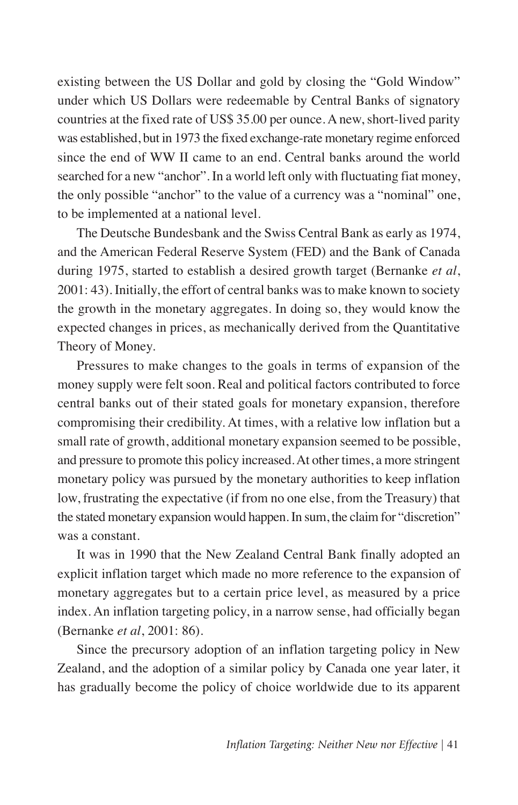existing between the US Dollar and gold by closing the "Gold Window" under which US Dollars were redeemable by Central Banks of signatory countries at the fixed rate of US\$ 35.00 per ounce. A new, short-lived parity was established, but in 1973 the fixed exchange-rate monetary regime enforced since the end of WW II came to an end. Central banks around the world searched for a new "anchor". In a world left only with fluctuating fiat money, the only possible "anchor" to the value of a currency was a "nominal" one, to be implemented at a national level.

The Deutsche Bundesbank and the Swiss Central Bank as early as 1974, and the American Federal Reserve System (FED) and the Bank of Canada during 1975, started to establish a desired growth target (Bernanke *et al*, 2001: 43). Initially, the effort of central banks was to make known to society the growth in the monetary aggregates. In doing so, they would know the expected changes in prices, as mechanically derived from the Quantitative Theory of Money.

Pressures to make changes to the goals in terms of expansion of the money supply were felt soon. Real and political factors contributed to force central banks out of their stated goals for monetary expansion, therefore compromising their credibility. At times, with a relative low inflation but a small rate of growth, additional monetary expansion seemed to be possible, and pressure to promote this policy increased. At other times, a more stringent monetary policy was pursued by the monetary authorities to keep inflation low, frustrating the expectative (if from no one else, from the Treasury) that the stated monetary expansion would happen. In sum, the claim for "discretion" was a constant.

It was in 1990 that the New Zealand Central Bank finally adopted an explicit inflation target which made no more reference to the expansion of monetary aggregates but to a certain price level, as measured by a price index. An inflation targeting policy, in a narrow sense, had officially began (Bernanke *et al*, 2001: 86).

Since the precursory adoption of an inflation targeting policy in New Zealand, and the adoption of a similar policy by Canada one year later, it has gradually become the policy of choice worldwide due to its apparent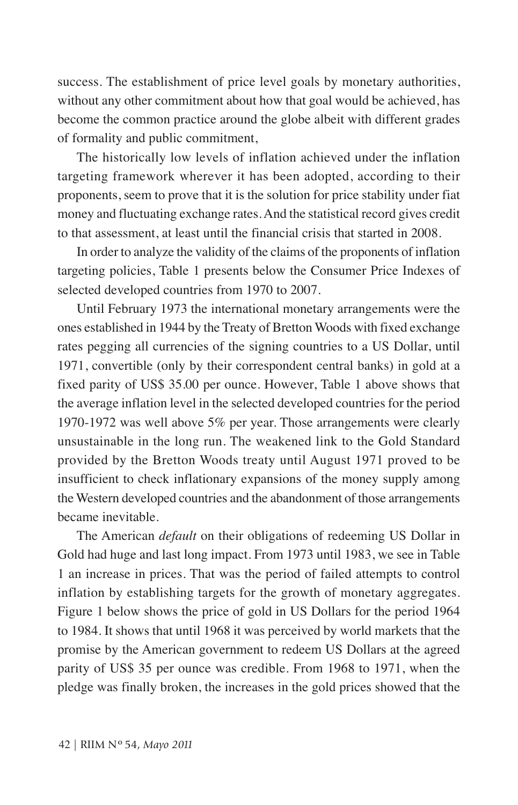success. The establishment of price level goals by monetary authorities, without any other commitment about how that goal would be achieved, has become the common practice around the globe albeit with different grades of formality and public commitment,

The historically low levels of inflation achieved under the inflation targeting framework wherever it has been adopted, according to their proponents, seem to prove that it is the solution for price stability under fiat money and fluctuating exchange rates. And the statistical record gives credit to that assessment, at least until the financial crisis that started in 2008.

In order to analyze the validity of the claims of the proponents of inflation targeting policies, Table 1 presents below the Consumer Price Indexes of selected developed countries from 1970 to 2007.

Until February 1973 the international monetary arrangements were the ones established in 1944 by the Treaty of Bretton Woods with fixed exchange rates pegging all currencies of the signing countries to a US Dollar, until 1971, convertible (only by their correspondent central banks) in gold at a fixed parity of US\$ 35.00 per ounce. However, Table 1 above shows that the average inflation level in the selected developed countries for the period 1970-1972 was well above 5% per year. Those arrangements were clearly unsustainable in the long run. The weakened link to the Gold Standard provided by the Bretton Woods treaty until August 1971 proved to be insufficient to check inflationary expansions of the money supply among the Western developed countries and the abandonment of those arrangements became inevitable.

The American *default* on their obligations of redeeming US Dollar in Gold had huge and last long impact. From 1973 until 1983, we see in Table 1 an increase in prices. That was the period of failed attempts to control inflation by establishing targets for the growth of monetary aggregates. Figure 1 below shows the price of gold in US Dollars for the period 1964 to 1984. It shows that until 1968 it was perceived by world markets that the promise by the American government to redeem US Dollars at the agreed parity of US\$ 35 per ounce was credible. From 1968 to 1971, when the pledge was finally broken, the increases in the gold prices showed that the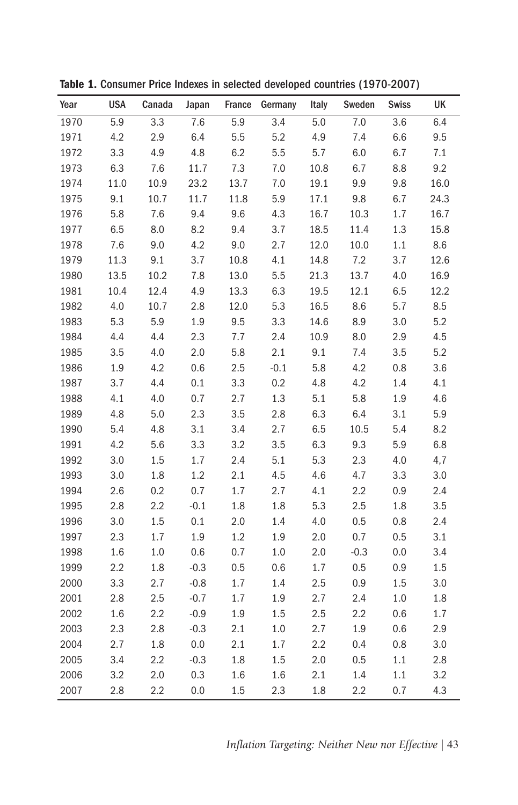| Year | <b>USA</b> | Canada           | Japan   | France | Germany | Italy | Sweden  | <b>Swiss</b> | UK      |
|------|------------|------------------|---------|--------|---------|-------|---------|--------------|---------|
| 1970 | 5.9        | $\overline{3.3}$ | 7.6     | 5.9    | 3.4     | 5.0   | 7.0     | 3.6          | 6.4     |
| 1971 | 4.2        | 2.9              | 6.4     | 5.5    | 5.2     | 4.9   | 7.4     | 6.6          | 9.5     |
| 1972 | 3.3        | 4.9              | 4.8     | 6.2    | 5.5     | 5.7   | 6.0     | 6.7          | $7.1\,$ |
| 1973 | 6.3        | 7.6              | 11.7    | 7.3    | 7.0     | 10.8  | 6.7     | 8.8          | 9.2     |
| 1974 | 11.0       | 10.9             | 23.2    | 13.7   | 7.0     | 19.1  | 9.9     | 9.8          | 16.0    |
| 1975 | 9.1        | 10.7             | 11.7    | 11.8   | 5.9     | 17.1  | 9.8     | 6.7          | 24.3    |
| 1976 | 5.8        | 7.6              | 9.4     | 9.6    | 4.3     | 16.7  | 10.3    | 1.7          | 16.7    |
| 1977 | 6.5        | 8.0              | 8.2     | 9.4    | 3.7     | 18.5  | 11.4    | 1.3          | 15.8    |
| 1978 | 7.6        | 9.0              | 4.2     | 9.0    | 2.7     | 12.0  | 10.0    | $1.1\,$      | 8.6     |
| 1979 | 11.3       | 9.1              | 3.7     | 10.8   | 4.1     | 14.8  | $7.2\,$ | 3.7          | 12.6    |
| 1980 | 13.5       | 10.2             | 7.8     | 13.0   | 5.5     | 21.3  | 13.7    | 4.0          | 16.9    |
| 1981 | 10.4       | 12.4             | 4.9     | 13.3   | 6.3     | 19.5  | 12.1    | 6.5          | 12.2    |
| 1982 | 4.0        | 10.7             | 2.8     | 12.0   | 5.3     | 16.5  | 8.6     | 5.7          | 8.5     |
| 1983 | 5.3        | 5.9              | 1.9     | 9.5    | 3.3     | 14.6  | 8.9     | 3.0          | 5.2     |
| 1984 | 4.4        | 4.4              | 2.3     | 7.7    | 2.4     | 10.9  | 8.0     | 2.9          | 4.5     |
| 1985 | 3.5        | 4.0              | 2.0     | 5.8    | 2.1     | 9.1   | 7.4     | 3.5          | 5.2     |
| 1986 | 1.9        | 4.2              | 0.6     | 2.5    | $-0.1$  | 5.8   | 4.2     | 0.8          | 3.6     |
| 1987 | 3.7        | 4.4              | 0.1     | 3.3    | 0.2     | 4.8   | 4.2     | 1.4          | 4.1     |
| 1988 | 4.1        | 4.0              | 0.7     | 2.7    | 1.3     | 5.1   | 5.8     | 1.9          | 4.6     |
| 1989 | 4.8        | 5.0              | 2.3     | 3.5    | 2.8     | 6.3   | 6.4     | 3.1          | 5.9     |
| 1990 | 5.4        | 4.8              | 3.1     | 3.4    | 2.7     | 6.5   | 10.5    | 5.4          | 8.2     |
| 1991 | 4.2        | 5.6              | 3.3     | 3.2    | 3.5     | 6.3   | 9.3     | 5.9          | 6.8     |
| 1992 | 3.0        | 1.5              | $1.7\,$ | 2.4    | 5.1     | 5.3   | 2.3     | 4.0          | 4,7     |
| 1993 | 3.0        | 1.8              | $1.2\,$ | 2.1    | 4.5     | 4.6   | 4.7     | 3.3          | 3.0     |
| 1994 | 2.6        | 0.2              | 0.7     | 1.7    | 2.7     | 4.1   | 2.2     | 0.9          | 2.4     |
| 1995 | 2.8        | 2.2              | $-0.1$  | 1.8    | 1.8     | 5.3   | 2.5     | 1.8          | 3.5     |
| 1996 | 3.0        | 1.5              | 0.1     | 2.0    | 1.4     | 4.0   | 0.5     | 0.8          | 2.4     |
| 1997 | 2.3        | 1.7              | 1.9     | 1.2    | 1.9     | 2.0   | 0.7     | 0.5          | 3.1     |
| 1998 | 1.6        | 1.0              | 0.6     | 0.7    | 1.0     | 2.0   | $-0.3$  | 0.0          | 3.4     |
| 1999 | 2.2        | 1.8              | $-0.3$  | 0.5    | 0.6     | 1.7   | 0.5     | 0.9          | 1.5     |
| 2000 | 3.3        | 2.7              | $-0.8$  | 1.7    | 1.4     | 2.5   | 0.9     | 1.5          | 3.0     |
| 2001 | 2.8        | 2.5              | $-0.7$  | 1.7    | 1.9     | 2.7   | 2.4     | $1.0\,$      | 1.8     |
| 2002 | 1.6        | 2.2              | $-0.9$  | 1.9    | 1.5     | 2.5   | 2.2     | 0.6          | 1.7     |
| 2003 | 2.3        | 2.8              | $-0.3$  | 2.1    | $1.0\,$ | 2.7   | 1.9     | 0.6          | 2.9     |
| 2004 | 2.7        | 1.8              | 0.0     | 2.1    | 1.7     | 2.2   | 0.4     | 0.8          | 3.0     |
| 2005 | 3.4        | 2.2              | $-0.3$  | 1.8    | 1.5     | 2.0   | 0.5     | $1.1\,$      | 2.8     |
| 2006 | 3.2        | 2.0              | 0.3     | 1.6    | 1.6     | 2.1   | 1.4     | $1.1\,$      | 3.2     |
| 2007 | 2.8        | 2.2              | 0.0     | 1.5    | 2.3     | 1.8   | 2.2     | 0.7          | 4.3     |

**Table 1.** Consumer Price Indexes in selected developed countries (1970-2007)

*Inflation Targeting: Neither New nor Effective* | 43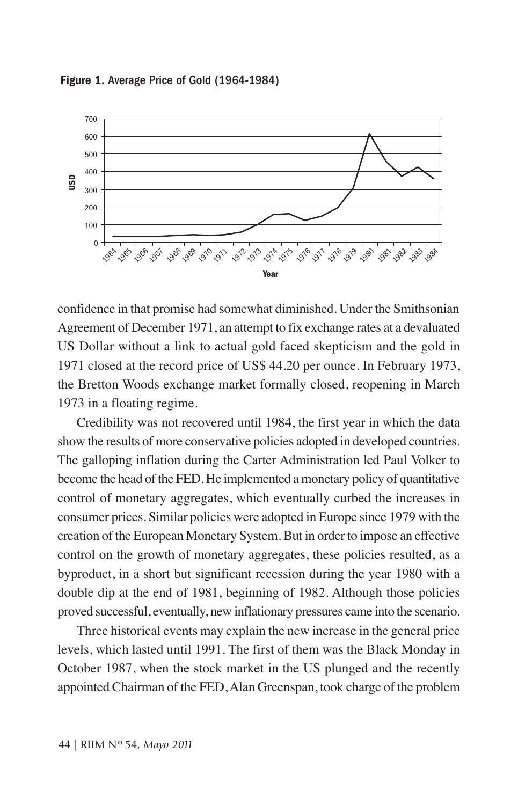**Figure 1.** Average Price of Gold (1964-1984)



confidence in that promise had somewhat diminished. Under the Smithsonian Agreement of December 1971, an attempt to fix exchange rates at a devaluated US Dollar without a link to actual gold faced skepticism and the gold in 1971 closed at the record price of US\$ 44.20 per ounce. In February 1973, the Bretton Woods exchange market formally closed, reopening in March 1973 in a floating regime.

Credibility was not recovered until 1984, the first year in which the data show the results of more conservative policies adopted in developed countries. The galloping inflation during the Carter Administration led Paul Volker to become the head of the FED. He implemented a monetary policy of quantitative control of monetary aggregates, which eventually curbed the increases in consumer prices. Similar policies were adopted in Europe since 1979 with the creation of the European Monetary System. But in order to impose an effective control on the growth of monetary aggregates, these policies resulted, as a byproduct, in a short but significant recession during the year 1980 with a double dip at the end of 1981, beginning of 1982. Although those policies proved successful, eventually, new inflationary pressures came into the scenario.

Three historical events may explain the new increase in the general price levels, which lasted until 1991. The first of them was the Black Monday in October 1987, when the stock market in the US plunged and the recently appointed Chairman of the FED, Alan Greenspan, took charge of the problem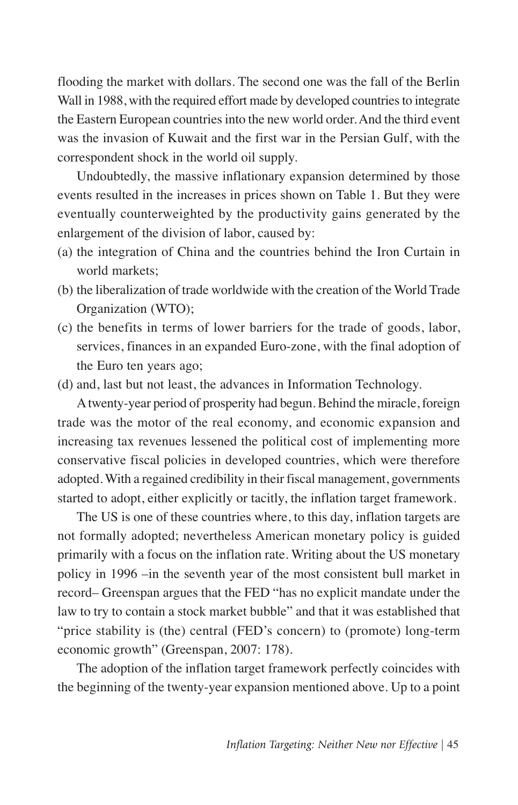flooding the market with dollars. The second one was the fall of the Berlin Wall in 1988, with the required effort made by developed countries to integrate the Eastern European countries into the new world order. And the third event was the invasion of Kuwait and the first war in the Persian Gulf, with the correspondent shock in the world oil supply.

Undoubtedly, the massive inflationary expansion determined by those events resulted in the increases in prices shown on Table 1. But they were eventually counterweighted by the productivity gains generated by the enlargement of the division of labor, caused by:

- (a) the integration of China and the countries behind the Iron Curtain in world markets;
- (b) the liberalization of trade worldwide with the creation of the World Trade Organization (WTO);
- (c) the benefits in terms of lower barriers for the trade of goods, labor, services, finances in an expanded Euro-zone, with the final adoption of the Euro ten years ago;
- (d) and, last but not least, the advances in Information Technology.

A twenty-year period of prosperity had begun. Behind the miracle, foreign trade was the motor of the real economy, and economic expansion and increasing tax revenues lessened the political cost of implementing more conservative fiscal policies in developed countries, which were therefore adopted. With a regained credibility in their fiscal management, governments started to adopt, either explicitly or tacitly, the inflation target framework.

The US is one of these countries where, to this day, inflation targets are not formally adopted; nevertheless American monetary policy is guided primarily with a focus on the inflation rate. Writing about the US monetary policy in 1996 –in the seventh year of the most consistent bull market in record– Greenspan argues that the FED "has no explicit mandate under the law to try to contain a stock market bubble" and that it was established that "price stability is (the) central (FED's concern) to (promote) long-term economic growth" (Greenspan, 2007: 178).

The adoption of the inflation target framework perfectly coincides with the beginning of the twenty-year expansion mentioned above. Up to a point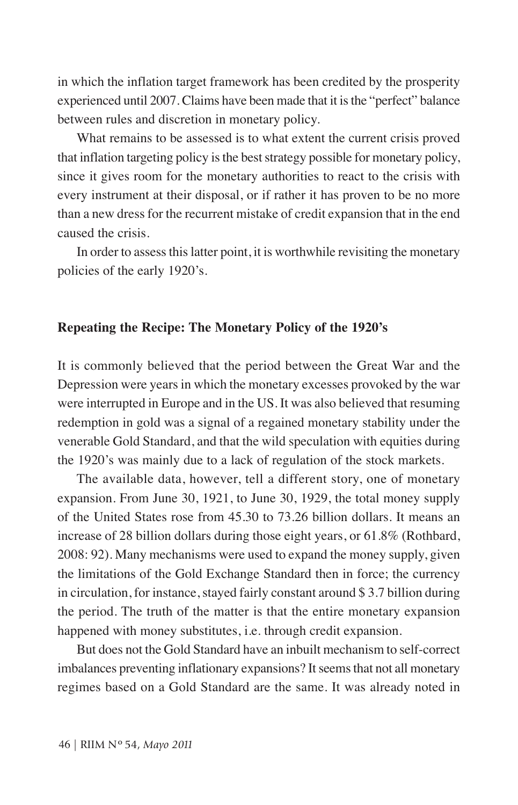in which the inflation target framework has been credited by the prosperity experienced until 2007. Claims have been made that it is the "perfect" balance between rules and discretion in monetary policy.

What remains to be assessed is to what extent the current crisis proved that inflation targeting policy is the best strategy possible for monetary policy, since it gives room for the monetary authorities to react to the crisis with every instrument at their disposal, or if rather it has proven to be no more than a new dress for the recurrent mistake of credit expansion that in the end caused the crisis.

In order to assess this latter point, it is worthwhile revisiting the monetary policies of the early 1920's.

### **Repeating the Recipe: The Monetary Policy of the 1920's**

It is commonly believed that the period between the Great War and the Depression were years in which the monetary excesses provoked by the war were interrupted in Europe and in the US. It was also believed that resuming redemption in gold was a signal of a regained monetary stability under the venerable Gold Standard, and that the wild speculation with equities during the 1920's was mainly due to a lack of regulation of the stock markets.

The available data, however, tell a different story, one of monetary expansion. From June 30, 1921, to June 30, 1929, the total money supply of the United States rose from 45.30 to 73.26 billion dollars. It means an increase of 28 billion dollars during those eight years, or 61.8% (Rothbard, 2008: 92). Many mechanisms were used to expand the money supply, given the limitations of the Gold Exchange Standard then in force; the currency in circulation, for instance, stayed fairly constant around \$ 3.7 billion during the period. The truth of the matter is that the entire monetary expansion happened with money substitutes, i.e. through credit expansion.

But does not the Gold Standard have an inbuilt mechanism to self-correct imbalances preventing inflationary expansions? It seems that not all monetary regimes based on a Gold Standard are the same. It was already noted in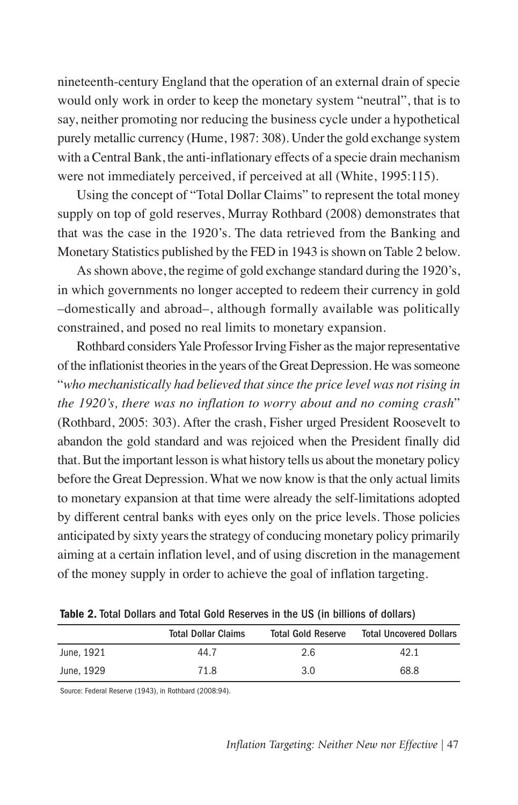nineteenth-century England that the operation of an external drain of specie would only work in order to keep the monetary system "neutral", that is to say, neither promoting nor reducing the business cycle under a hypothetical purely metallic currency (Hume, 1987: 308). Under the gold exchange system with a Central Bank, the anti-inflationary effects of a specie drain mechanism were not immediately perceived, if perceived at all (White, 1995:115).

Using the concept of "Total Dollar Claims" to represent the total money supply on top of gold reserves, Murray Rothbard (2008) demonstrates that that was the case in the 1920's. The data retrieved from the Banking and Monetary Statistics published by the FED in 1943 is shown on Table 2 below.

As shown above, the regime of gold exchange standard during the 1920's, in which governments no longer accepted to redeem their currency in gold –domestically and abroad–, although formally available was politically constrained, and posed no real limits to monetary expansion.

Rothbard considers Yale Professor Irving Fisher as the major representative of the inflationist theories in the years of the Great Depression. He was someone "*who mechanistically had believed that since the price level was not rising in the 1920's, there was no inflation to worry about and no coming crash*" (Rothbard, 2005: 303). After the crash, Fisher urged President Roosevelt to abandon the gold standard and was rejoiced when the President finally did that. But the important lesson is what history tells us about the monetary policy before the Great Depression. What we now know is that the only actual limits to monetary expansion at that time were already the self-limitations adopted by different central banks with eyes only on the price levels. Those policies anticipated by sixty years the strategy of conducing monetary policy primarily aiming at a certain inflation level, and of using discretion in the management of the money supply in order to achieve the goal of inflation targeting.

|            | <b>Total Dollar Claims</b> | <b>Total Gold Reserve</b> | <b>Total Uncovered Dollars</b> |
|------------|----------------------------|---------------------------|--------------------------------|
| June, 1921 | 44.7                       | 2.6                       | 42.1                           |
| June, 1929 | 71.8                       | 3.0                       | 68.8                           |

**Table 2.** Total Dollars and Total Gold Reserves in the US (in billions of dollars)

Source: Federal Reserve (1943), in Rothbard (2008:94).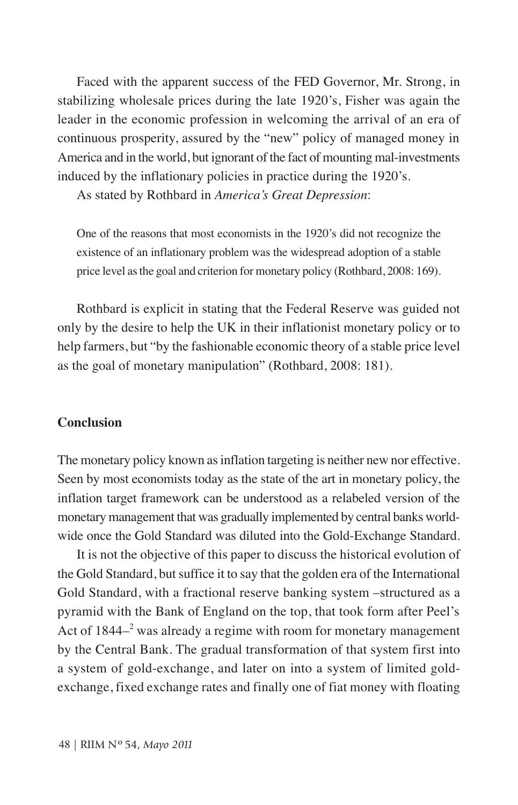Faced with the apparent success of the FED Governor, Mr. Strong, in stabilizing wholesale prices during the late 1920's, Fisher was again the leader in the economic profession in welcoming the arrival of an era of continuous prosperity, assured by the "new" policy of managed money in America and in the world, but ignorant of the fact of mounting mal-investments induced by the inflationary policies in practice during the 1920's.

As stated by Rothbard in *America's Great Depression*:

One of the reasons that most economists in the 1920's did not recognize the existence of an inflationary problem was the widespread adoption of a stable price level as the goal and criterion for monetary policy (Rothbard, 2008: 169).

Rothbard is explicit in stating that the Federal Reserve was guided not only by the desire to help the UK in their inflationist monetary policy or to help farmers, but "by the fashionable economic theory of a stable price level as the goal of monetary manipulation" (Rothbard, 2008: 181).

## **Conclusion**

The monetary policy known as inflation targeting is neither new nor effective. Seen by most economists today as the state of the art in monetary policy, the inflation target framework can be understood as a relabeled version of the monetary management that was gradually implemented by central banks worldwide once the Gold Standard was diluted into the Gold-Exchange Standard.

It is not the objective of this paper to discuss the historical evolution of the Gold Standard, but suffice it to say that the golden era of the International Gold Standard, with a fractional reserve banking system –structured as a pyramid with the Bank of England on the top, that took form after Peel's Act of 1844–2 was already a regime with room for monetary management by the Central Bank. The gradual transformation of that system first into a system of gold-exchange, and later on into a system of limited goldexchange, fixed exchange rates and finally one of fiat money with floating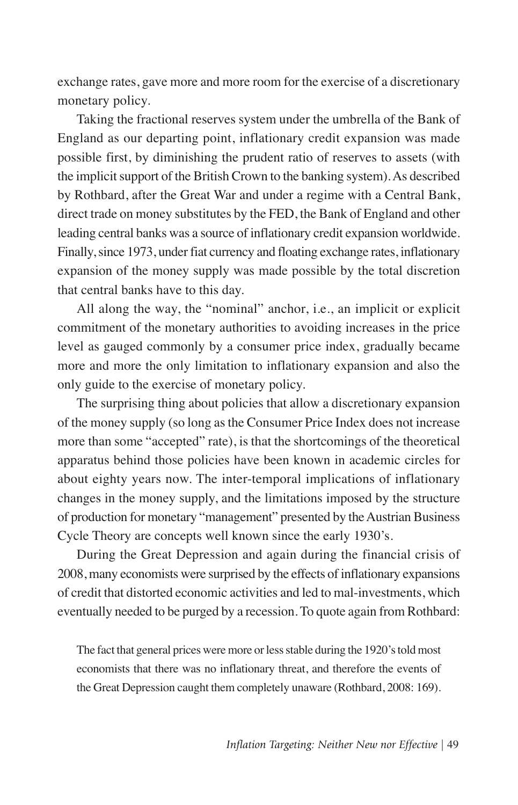exchange rates, gave more and more room for the exercise of a discretionary monetary policy.

Taking the fractional reserves system under the umbrella of the Bank of England as our departing point, inflationary credit expansion was made possible first, by diminishing the prudent ratio of reserves to assets (with the implicit support of the British Crown to the banking system). As described by Rothbard, after the Great War and under a regime with a Central Bank, direct trade on money substitutes by the FED, the Bank of England and other leading central banks was a source of inflationary credit expansion worldwide. Finally, since 1973, under fiat currency and floating exchange rates, inflationary expansion of the money supply was made possible by the total discretion that central banks have to this day.

All along the way, the "nominal" anchor, i.e., an implicit or explicit commitment of the monetary authorities to avoiding increases in the price level as gauged commonly by a consumer price index, gradually became more and more the only limitation to inflationary expansion and also the only guide to the exercise of monetary policy.

The surprising thing about policies that allow a discretionary expansion of the money supply (so long as the Consumer Price Index does not increase more than some "accepted" rate), is that the shortcomings of the theoretical apparatus behind those policies have been known in academic circles for about eighty years now. The inter-temporal implications of inflationary changes in the money supply, and the limitations imposed by the structure of production for monetary "management" presented by the Austrian Business Cycle Theory are concepts well known since the early 1930's.

During the Great Depression and again during the financial crisis of 2008, many economists were surprised by the effects of inflationary expansions of credit that distorted economic activities and led to mal-investments, which eventually needed to be purged by a recession. To quote again from Rothbard:

The fact that general prices were more or less stable during the 1920's told most economists that there was no inflationary threat, and therefore the events of the Great Depression caught them completely unaware (Rothbard, 2008: 169).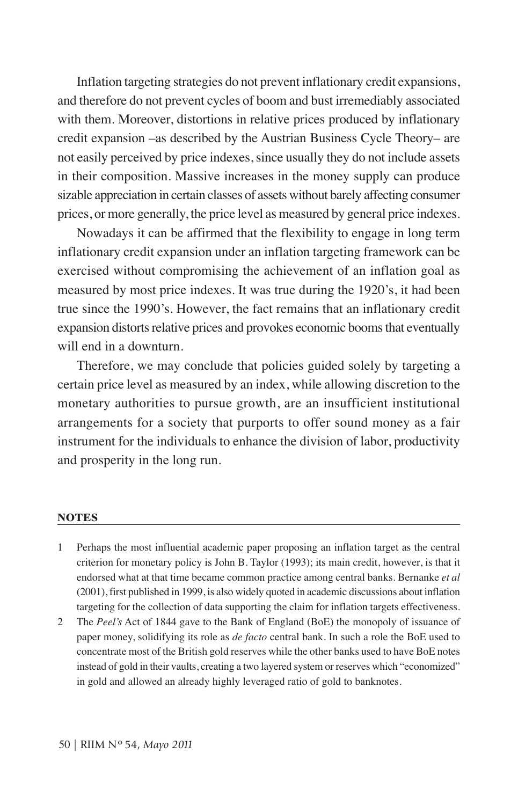Inflation targeting strategies do not prevent inflationary credit expansions, and therefore do not prevent cycles of boom and bust irremediably associated with them. Moreover, distortions in relative prices produced by inflationary credit expansion –as described by the Austrian Business Cycle Theory– are not easily perceived by price indexes, since usually they do not include assets in their composition. Massive increases in the money supply can produce sizable appreciation in certain classes of assets without barely affecting consumer prices, or more generally, the price level as measured by general price indexes.

Nowadays it can be affirmed that the flexibility to engage in long term inflationary credit expansion under an inflation targeting framework can be exercised without compromising the achievement of an inflation goal as measured by most price indexes. It was true during the 1920's, it had been true since the 1990's. However, the fact remains that an inflationary credit expansion distorts relative prices and provokes economic booms that eventually will end in a downturn.

Therefore, we may conclude that policies guided solely by targeting a certain price level as measured by an index, while allowing discretion to the monetary authorities to pursue growth, are an insufficient institutional arrangements for a society that purports to offer sound money as a fair instrument for the individuals to enhance the division of labor, productivity and prosperity in the long run.

#### **notes**

- 1 Perhaps the most influential academic paper proposing an inflation target as the central criterion for monetary policy is John B. Taylor (1993); its main credit, however, is that it endorsed what at that time became common practice among central banks. Bernanke *et al* (2001), first published in 1999, is also widely quoted in academic discussions about inflation targeting for the collection of data supporting the claim for inflation targets effectiveness.
- 2 The *Peel's* Act of 1844 gave to the Bank of England (BoE) the monopoly of issuance of paper money, solidifying its role as *de facto* central bank. In such a role the BoE used to concentrate most of the British gold reserves while the other banks used to have BoE notes instead of gold in their vaults, creating a two layered system or reserves which "economized" in gold and allowed an already highly leveraged ratio of gold to banknotes.